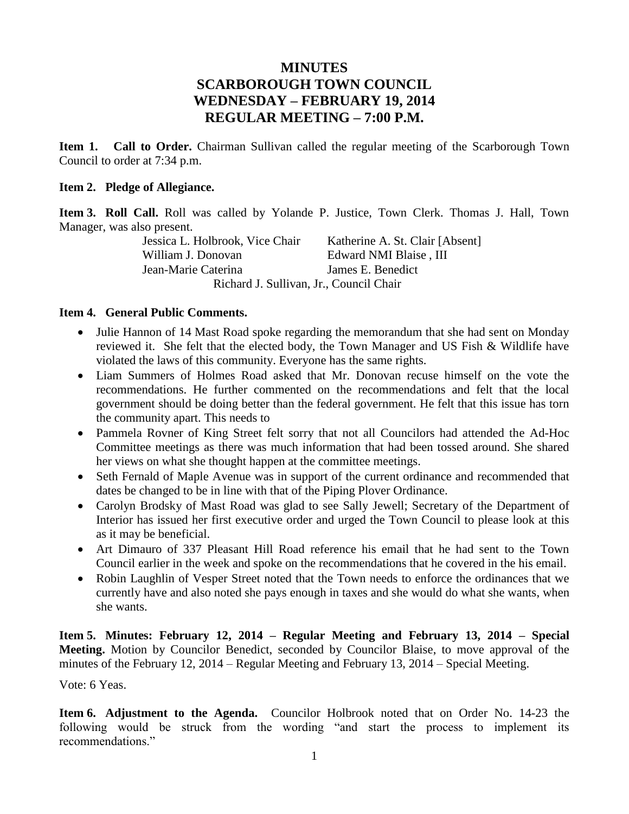# **MINUTES SCARBOROUGH TOWN COUNCIL WEDNESDAY – FEBRUARY 19, 2014 REGULAR MEETING – 7:00 P.M.**

**Item 1. Call to Order.** Chairman Sullivan called the regular meeting of the Scarborough Town Council to order at 7:34 p.m.

#### **Item 2. Pledge of Allegiance.**

**Item 3. Roll Call.** Roll was called by Yolande P. Justice, Town Clerk. Thomas J. Hall, Town Manager, was also present.

> Jessica L. Holbrook, Vice Chair Katherine A. St. Clair [Absent] William J. Donovan Edward NMI Blaise, III Jean-Marie Caterina James E. Benedict Richard J. Sullivan, Jr., Council Chair

#### **Item 4. General Public Comments.**

- Julie Hannon of 14 Mast Road spoke regarding the memorandum that she had sent on Monday reviewed it. She felt that the elected body, the Town Manager and US Fish & Wildlife have violated the laws of this community. Everyone has the same rights.
- Liam Summers of Holmes Road asked that Mr. Donovan recuse himself on the vote the recommendations. He further commented on the recommendations and felt that the local government should be doing better than the federal government. He felt that this issue has torn the community apart. This needs to
- Pammela Rovner of King Street felt sorry that not all Councilors had attended the Ad-Hoc Committee meetings as there was much information that had been tossed around. She shared her views on what she thought happen at the committee meetings.
- Seth Fernald of Maple Avenue was in support of the current ordinance and recommended that dates be changed to be in line with that of the Piping Plover Ordinance.
- Carolyn Brodsky of Mast Road was glad to see Sally Jewell; Secretary of the Department of Interior has issued her first executive order and urged the Town Council to please look at this as it may be beneficial.
- Art Dimauro of 337 Pleasant Hill Road reference his email that he had sent to the Town Council earlier in the week and spoke on the recommendations that he covered in the his email.
- Robin Laughlin of Vesper Street noted that the Town needs to enforce the ordinances that we currently have and also noted she pays enough in taxes and she would do what she wants, when she wants.

**Item 5. Minutes: February 12, 2014 – Regular Meeting and February 13, 2014 – Special Meeting.** Motion by Councilor Benedict, seconded by Councilor Blaise, to move approval of the minutes of the February 12, 2014 – Regular Meeting and February 13, 2014 – Special Meeting.

Vote: 6 Yeas.

**Item 6. Adjustment to the Agenda.** Councilor Holbrook noted that on Order No. 14-23 the following would be struck from the wording "and start the process to implement its recommendations."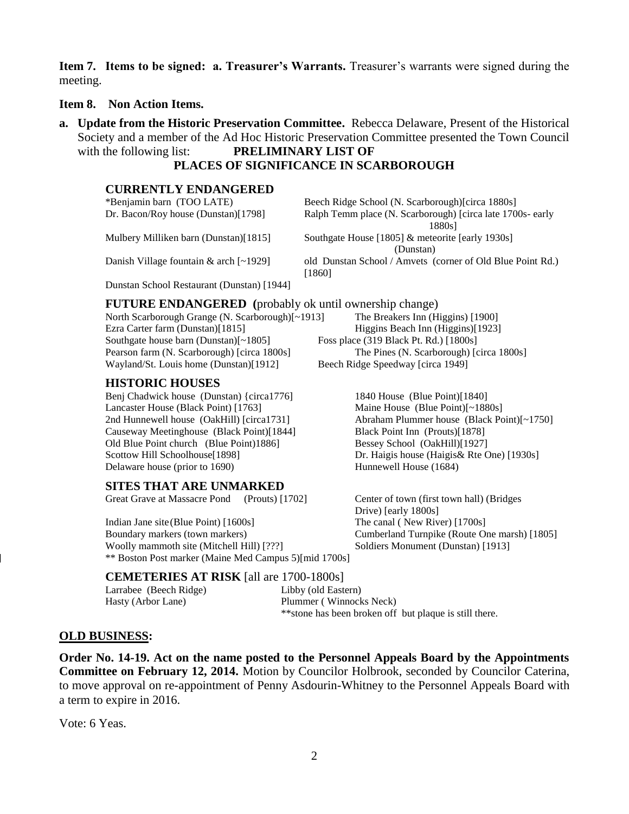**Item 7. Items to be signed: a. Treasurer's Warrants.** Treasurer's warrants were signed during the meeting.

**Item 8. Non Action Items.**

**a. Update from the Historic Preservation Committee.** Rebecca Delaware, Present of the Historical Society and a member of the Ad Hoc Historic Preservation Committee presented the Town Council with the following list: **PRELIMINARY LIST OF**

# **PLACES OF SIGNIFICANCE IN SCARBOROUGH**

#### **CURRENTLY ENDANGERED**

| *Benjamin barn (TOO LATE)                  | Beech Ridge School (N. Scarborough) [circa 1880s]          |
|--------------------------------------------|------------------------------------------------------------|
| Dr. Bacon/Roy house (Dunstan)[1798]        | Ralph Temm place (N. Scarborough) [circa late 1700s- early |
|                                            | 1880s1                                                     |
| Mulbery Milliken barn (Dunstan)[1815]      | Southgate House [1805] & meteorite [early 1930s]           |
|                                            | (Dunstan)                                                  |
| Danish Village fountain $\&$ arch [~1929]  | old Dunstan School / Amvets (corner of Old Blue Point Rd.) |
|                                            | [1860]                                                     |
| Dunstan School Restaurant (Dunstan) [1944] |                                                            |
|                                            |                                                            |

**FUTURE ENDANGERED** (probably ok until ownership change)<br>North Scarborough Grange (N. Scarborough)[~1913] The Breakers Inn (Higgins) [1900]

North Scarborough Grange (N. Scarborough)[~1913] Ezra Carter farm (Dunstan)[1815] Higgins Beach Inn (Higgins)[1923] Southgate house barn (Dunstan)[~1805] Foss place (319 Black Pt. Rd.) [1800s] Wayland/St. Louis home (Dunstan)[1912] Beech Ridge Speedway [circa 1949]

### **HISTORIC HOUSES**

Benj Chadwick house (Dunstan) {circa1776] 1840 House (Blue Point)[1840] Lancaster House (Black Point) [1763] Maine House (Blue Point)[~1880s] Causeway Meetinghouse (Black Point)[1844] Black Point Inn (Prouts)[1878] Old Blue Point church (Blue Point)1886] Bessey School (OakHill)[1927] Scottow Hill Schoolhouse[1898] Dr. Haigis house (Haigis & Rte One) [1930s] Delaware house (prior to 1690) Hunnewell House (1684)

### **SITES THAT ARE UNMARKED**

Great Grave at Massacre Pond (Prouts) [1702] Center of town (first town hall) (Bridges

Indian Jane site(Blue Point) [1600s] The canal ( New River) [1700s] Boundary markers (town markers) Cumberland Turnpike (Route One marsh) [1805] Woolly mammoth site (Mitchell Hill) [???] Soldiers Monument (Dunstan) [1913] \*\* Boston Post marker (Maine Med Campus 5)[mid 1700s]

Pearson farm (N. Scarborough) [circa 1800s] The Pines (N. Scarborough) [circa 1800s]

2nd Hunnewell house (OakHill) [circa1731] Abraham Plummer house (Black Point)[~1750]

Drive) [early 1800s]

### **CEMETERIES AT RISK** [all are 1700-1800s]

Larrabee (Beech Ridge) Libby (old Eastern) Hasty (Arbor Lane) Plummer ( Winnocks Neck)

\*\*stone has been broken off but plaque is still there.

### **OLD BUSINESS:**

**Order No. 14-19. Act on the name posted to the Personnel Appeals Board by the Appointments Committee on February 12, 2014.** Motion by Councilor Holbrook, seconded by Councilor Caterina, to move approval on re-appointment of Penny Asdourin-Whitney to the Personnel Appeals Board with a term to expire in 2016.

Vote: 6 Yeas.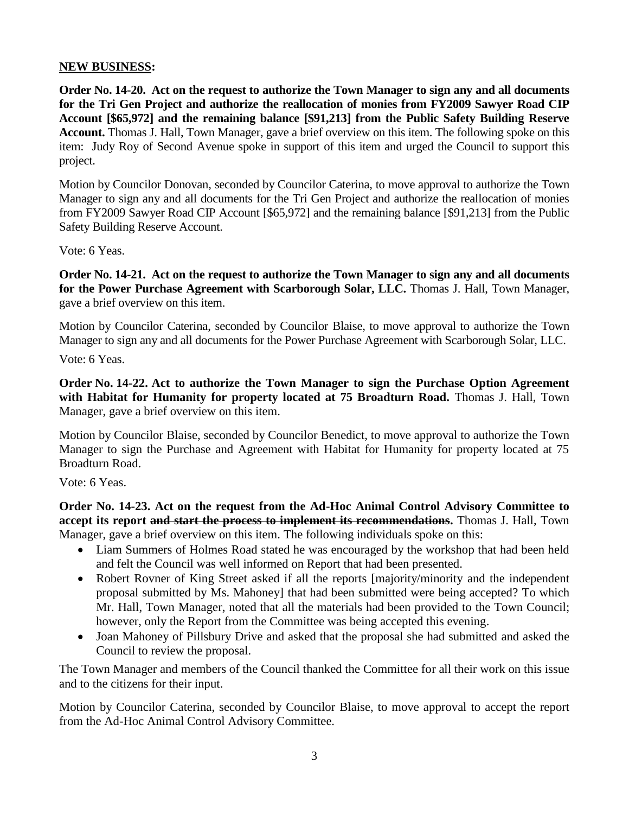### **NEW BUSINESS:**

**Order No. 14-20. Act on the request to authorize the Town Manager to sign any and all documents for the Tri Gen Project and authorize the reallocation of monies from FY2009 Sawyer Road CIP Account [\$65,972] and the remaining balance [\$91,213] from the Public Safety Building Reserve Account.** Thomas J. Hall, Town Manager, gave a brief overview on this item. The following spoke on this item: Judy Roy of Second Avenue spoke in support of this item and urged the Council to support this project.

Motion by Councilor Donovan, seconded by Councilor Caterina, to move approval to authorize the Town Manager to sign any and all documents for the Tri Gen Project and authorize the reallocation of monies from FY2009 Sawyer Road CIP Account [\$65,972] and the remaining balance [\$91,213] from the Public Safety Building Reserve Account.

Vote: 6 Yeas.

**Order No. 14-21. Act on the request to authorize the Town Manager to sign any and all documents for the Power Purchase Agreement with Scarborough Solar, LLC.** Thomas J. Hall, Town Manager, gave a brief overview on this item.

Motion by Councilor Caterina, seconded by Councilor Blaise, to move approval to authorize the Town Manager to sign any and all documents for the Power Purchase Agreement with Scarborough Solar, LLC.

Vote: 6 Yeas.

**Order No. 14-22. Act to authorize the Town Manager to sign the Purchase Option Agreement with Habitat for Humanity for property located at 75 Broadturn Road.** Thomas J. Hall, Town Manager, gave a brief overview on this item.

Motion by Councilor Blaise, seconded by Councilor Benedict, to move approval to authorize the Town Manager to sign the Purchase and Agreement with Habitat for Humanity for property located at 75 Broadturn Road.

Vote: 6 Yeas.

**Order No. 14-23. Act on the request from the Ad-Hoc Animal Control Advisory Committee to accept its report and start the process to implement its recommendations.** Thomas J. Hall, Town Manager, gave a brief overview on this item. The following individuals spoke on this:

- Liam Summers of Holmes Road stated he was encouraged by the workshop that had been held and felt the Council was well informed on Report that had been presented.
- Robert Rovner of King Street asked if all the reports [majority/minority and the independent proposal submitted by Ms. Mahoney] that had been submitted were being accepted? To which Mr. Hall, Town Manager, noted that all the materials had been provided to the Town Council; however, only the Report from the Committee was being accepted this evening.
- Joan Mahoney of Pillsbury Drive and asked that the proposal she had submitted and asked the Council to review the proposal.

The Town Manager and members of the Council thanked the Committee for all their work on this issue and to the citizens for their input.

Motion by Councilor Caterina, seconded by Councilor Blaise, to move approval to accept the report from the Ad-Hoc Animal Control Advisory Committee.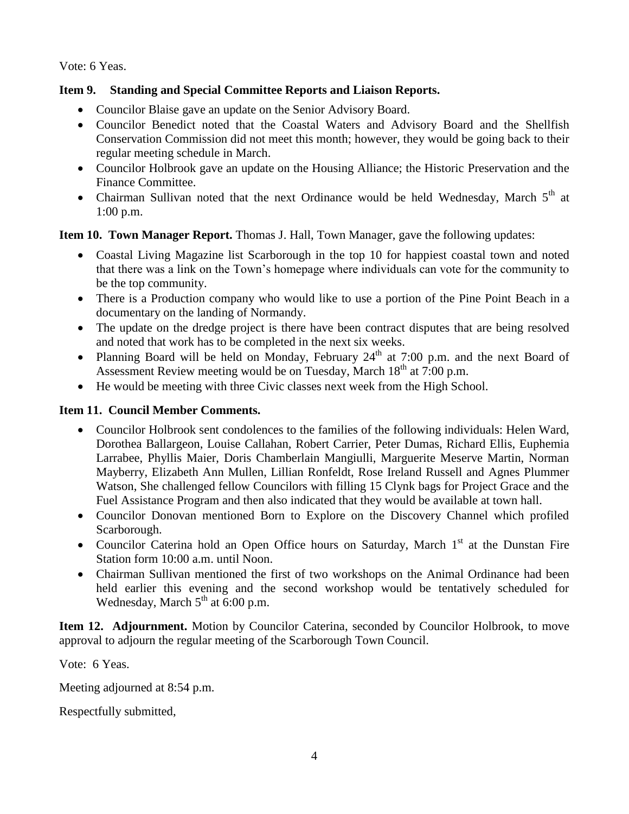Vote: 6 Yeas.

## **Item 9. Standing and Special Committee Reports and Liaison Reports.**

- Councilor Blaise gave an update on the Senior Advisory Board.
- Councilor Benedict noted that the Coastal Waters and Advisory Board and the Shellfish Conservation Commission did not meet this month; however, they would be going back to their regular meeting schedule in March.
- Councilor Holbrook gave an update on the Housing Alliance; the Historic Preservation and the Finance Committee.
- Chairman Sullivan noted that the next Ordinance would be held Wednesday, March  $5<sup>th</sup>$  at 1:00 p.m.

**Item 10. Town Manager Report.** Thomas J. Hall, Town Manager, gave the following updates:

- Coastal Living Magazine list Scarborough in the top 10 for happiest coastal town and noted that there was a link on the Town's homepage where individuals can vote for the community to be the top community.
- There is a Production company who would like to use a portion of the Pine Point Beach in a documentary on the landing of Normandy.
- The update on the dredge project is there have been contract disputes that are being resolved and noted that work has to be completed in the next six weeks.
- Planning Board will be held on Monday, February  $24<sup>th</sup>$  at 7:00 p.m. and the next Board of Assessment Review meeting would be on Tuesday, March  $18<sup>th</sup>$  at 7:00 p.m.
- He would be meeting with three Civic classes next week from the High School.

### **Item 11. Council Member Comments.**

- Councilor Holbrook sent condolences to the families of the following individuals: Helen Ward, Dorothea Ballargeon, Louise Callahan, Robert Carrier, Peter Dumas, Richard Ellis, Euphemia Larrabee, Phyllis Maier, Doris Chamberlain Mangiulli, Marguerite Meserve Martin, Norman Mayberry, Elizabeth Ann Mullen, Lillian Ronfeldt, Rose Ireland Russell and Agnes Plummer Watson, She challenged fellow Councilors with filling 15 Clynk bags for Project Grace and the Fuel Assistance Program and then also indicated that they would be available at town hall.
- Councilor Donovan mentioned Born to Explore on the Discovery Channel which profiled Scarborough.
- Councilor Caterina hold an Open Office hours on Saturday, March  $1<sup>st</sup>$  at the Dunstan Fire Station form 10:00 a.m. until Noon.
- Chairman Sullivan mentioned the first of two workshops on the Animal Ordinance had been held earlier this evening and the second workshop would be tentatively scheduled for Wednesday, March  $5<sup>th</sup>$  at 6:00 p.m.

**Item 12. Adjournment.** Motion by Councilor Caterina, seconded by Councilor Holbrook, to move approval to adjourn the regular meeting of the Scarborough Town Council.

Vote: 6 Yeas.

Meeting adjourned at 8:54 p.m.

Respectfully submitted,